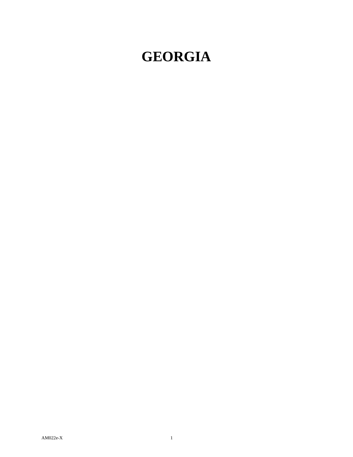## **GEORGIA**